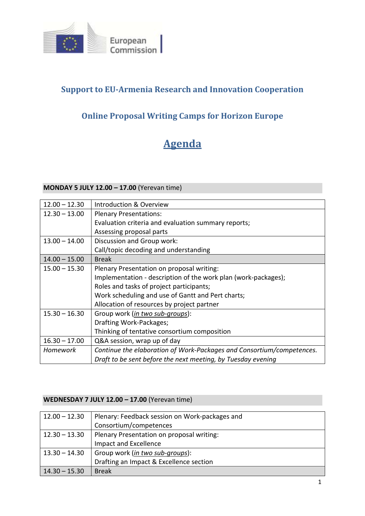

# **Support to EU-Armenia Research and Innovation Cooperation**

# **Online Proposal Writing Camps for Horizon Europe**

# **Agenda**

## **MONDAY 5 JULY 12.00 – 17.00** (Yerevan time)

| $12.00 - 12.30$ | <b>Introduction &amp; Overview</b>                                    |
|-----------------|-----------------------------------------------------------------------|
| $12.30 - 13.00$ | <b>Plenary Presentations:</b>                                         |
|                 | Evaluation criteria and evaluation summary reports;                   |
|                 | Assessing proposal parts                                              |
| $13.00 - 14.00$ | Discussion and Group work:                                            |
|                 | Call/topic decoding and understanding                                 |
| $14.00 - 15.00$ | <b>Break</b>                                                          |
| $15.00 - 15.30$ | Plenary Presentation on proposal writing:                             |
|                 | Implementation - description of the work plan (work-packages);        |
|                 | Roles and tasks of project participants;                              |
|                 | Work scheduling and use of Gantt and Pert charts;                     |
|                 | Allocation of resources by project partner                            |
| $15.30 - 16.30$ | Group work (in two sub-groups):                                       |
|                 | Drafting Work-Packages;                                               |
|                 | Thinking of tentative consortium composition                          |
| $16.30 - 17.00$ | Q&A session, wrap up of day                                           |
| Homework        | Continue the elaboration of Work-Packages and Consortium/competences. |
|                 | Draft to be sent before the next meeting, by Tuesday evening          |

## **WEDNESDAY 7 JULY 12.00 – 17.00** (Yerevan time)

| $12.00 - 12.30$ | Plenary: Feedback session on Work-packages and |
|-----------------|------------------------------------------------|
|                 | Consortium/competences                         |
| $12.30 - 13.30$ | Plenary Presentation on proposal writing:      |
|                 | Impact and Excellence                          |
| $13.30 - 14.30$ | Group work (in two sub-groups):                |
|                 | Drafting an Impact & Excellence section        |
| $14.30 - 15.30$ | <b>Break</b>                                   |